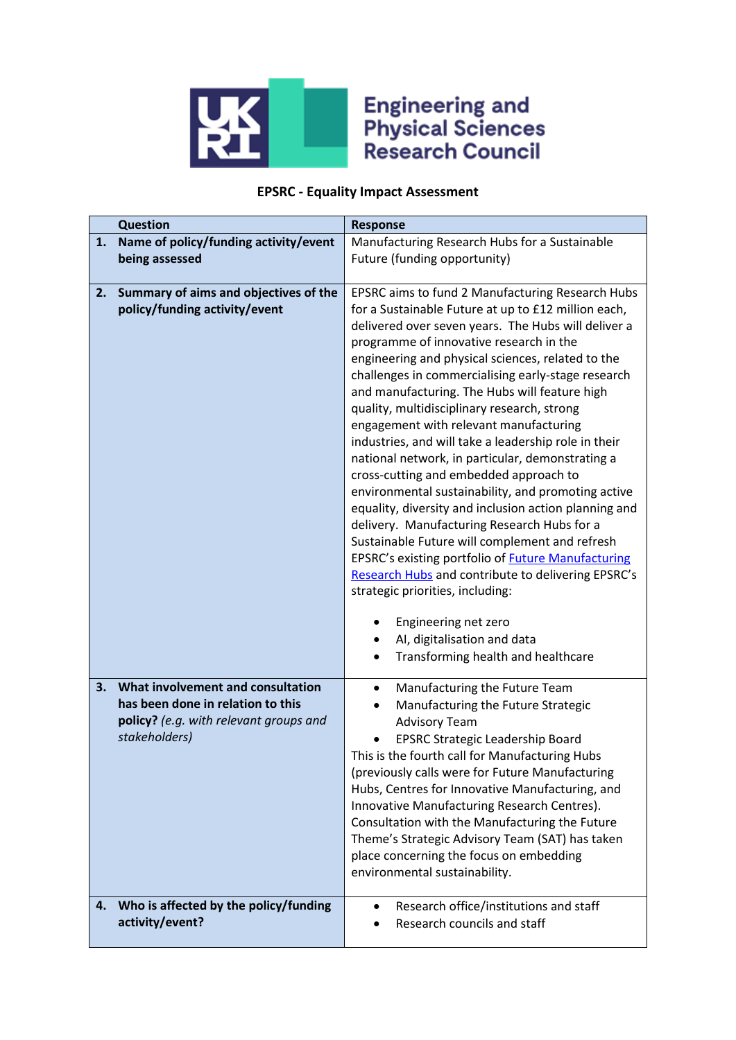

## **Engineering and<br>Physical Sciences<br>Research Council**

## **EPSRC - Equality Impact Assessment**

| <b>Question</b>                                                                                                                         | <b>Response</b>                                                                                                                                                                                                                                                                                                                                                                                                                                                                                                                                                                                                                                                                                                                                                                                                                                                                                                                                                                                                                                    |
|-----------------------------------------------------------------------------------------------------------------------------------------|----------------------------------------------------------------------------------------------------------------------------------------------------------------------------------------------------------------------------------------------------------------------------------------------------------------------------------------------------------------------------------------------------------------------------------------------------------------------------------------------------------------------------------------------------------------------------------------------------------------------------------------------------------------------------------------------------------------------------------------------------------------------------------------------------------------------------------------------------------------------------------------------------------------------------------------------------------------------------------------------------------------------------------------------------|
| Name of policy/funding activity/event<br>1.                                                                                             | Manufacturing Research Hubs for a Sustainable                                                                                                                                                                                                                                                                                                                                                                                                                                                                                                                                                                                                                                                                                                                                                                                                                                                                                                                                                                                                      |
| being assessed                                                                                                                          | Future (funding opportunity)                                                                                                                                                                                                                                                                                                                                                                                                                                                                                                                                                                                                                                                                                                                                                                                                                                                                                                                                                                                                                       |
| Summary of aims and objectives of the<br>2.<br>policy/funding activity/event                                                            | EPSRC aims to fund 2 Manufacturing Research Hubs<br>for a Sustainable Future at up to £12 million each,<br>delivered over seven years. The Hubs will deliver a<br>programme of innovative research in the<br>engineering and physical sciences, related to the<br>challenges in commercialising early-stage research<br>and manufacturing. The Hubs will feature high<br>quality, multidisciplinary research, strong<br>engagement with relevant manufacturing<br>industries, and will take a leadership role in their<br>national network, in particular, demonstrating a<br>cross-cutting and embedded approach to<br>environmental sustainability, and promoting active<br>equality, diversity and inclusion action planning and<br>delivery. Manufacturing Research Hubs for a<br>Sustainable Future will complement and refresh<br>EPSRC's existing portfolio of <b>Future Manufacturing</b><br>Research Hubs and contribute to delivering EPSRC's<br>strategic priorities, including:<br>Engineering net zero<br>AI, digitalisation and data |
|                                                                                                                                         | Transforming health and healthcare                                                                                                                                                                                                                                                                                                                                                                                                                                                                                                                                                                                                                                                                                                                                                                                                                                                                                                                                                                                                                 |
| What involvement and consultation<br>3.<br>has been done in relation to this<br>policy? (e.g. with relevant groups and<br>stakeholders) | Manufacturing the Future Team<br>Manufacturing the Future Strategic<br><b>Advisory Team</b><br><b>EPSRC Strategic Leadership Board</b><br>This is the fourth call for Manufacturing Hubs<br>(previously calls were for Future Manufacturing<br>Hubs, Centres for Innovative Manufacturing, and<br>Innovative Manufacturing Research Centres).<br>Consultation with the Manufacturing the Future<br>Theme's Strategic Advisory Team (SAT) has taken<br>place concerning the focus on embedding<br>environmental sustainability.                                                                                                                                                                                                                                                                                                                                                                                                                                                                                                                     |
| Who is affected by the policy/funding<br>4.<br>activity/event?                                                                          | Research office/institutions and staff<br>$\bullet$<br>Research councils and staff                                                                                                                                                                                                                                                                                                                                                                                                                                                                                                                                                                                                                                                                                                                                                                                                                                                                                                                                                                 |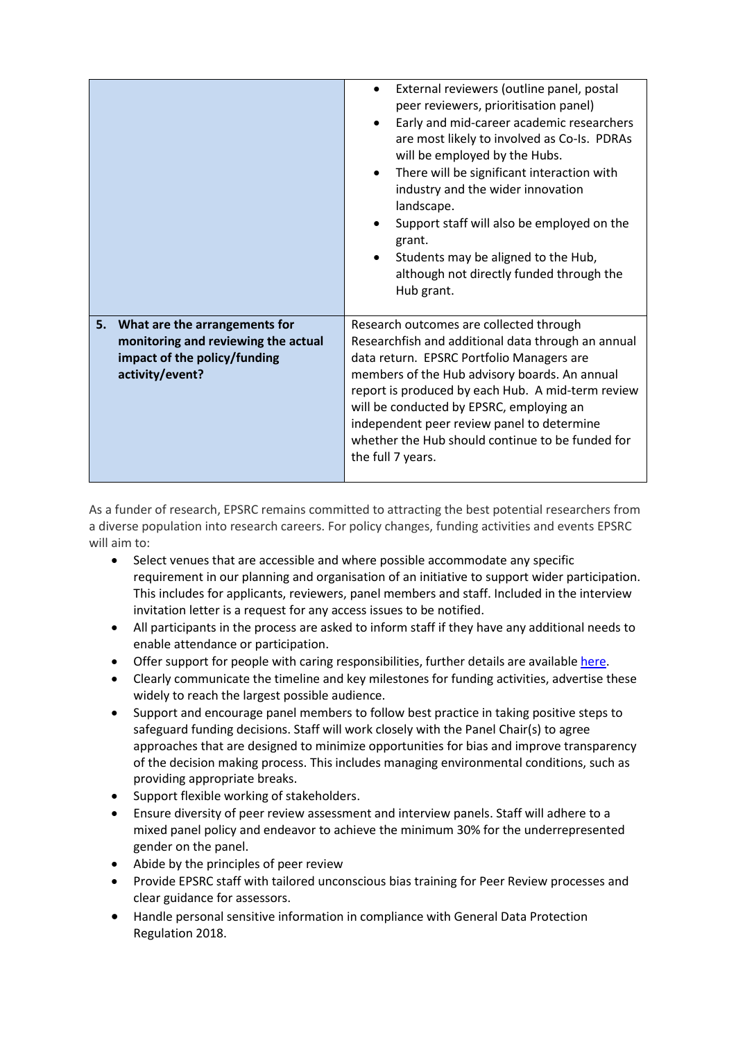|                                                                                                                               | External reviewers (outline panel, postal<br>$\bullet$<br>peer reviewers, prioritisation panel)<br>Early and mid-career academic researchers<br>$\bullet$<br>are most likely to involved as Co-Is. PDRAs<br>will be employed by the Hubs.<br>There will be significant interaction with<br>$\bullet$<br>industry and the wider innovation<br>landscape.<br>Support staff will also be employed on the<br>grant.<br>Students may be aligned to the Hub,<br>although not directly funded through the<br>Hub grant. |  |
|-------------------------------------------------------------------------------------------------------------------------------|------------------------------------------------------------------------------------------------------------------------------------------------------------------------------------------------------------------------------------------------------------------------------------------------------------------------------------------------------------------------------------------------------------------------------------------------------------------------------------------------------------------|--|
| What are the arrangements for<br>5.<br>monitoring and reviewing the actual<br>impact of the policy/funding<br>activity/event? | Research outcomes are collected through<br>Researchfish and additional data through an annual<br>data return. EPSRC Portfolio Managers are<br>members of the Hub advisory boards. An annual<br>report is produced by each Hub. A mid-term review<br>will be conducted by EPSRC, employing an<br>independent peer review panel to determine<br>whether the Hub should continue to be funded for<br>the full 7 years.                                                                                              |  |

As a funder of research, EPSRC remains committed to attracting the best potential researchers from a diverse population into research careers. For policy changes, funding activities and events EPSRC will aim to:

- Select venues that are accessible and where possible accommodate any specific requirement in our planning and organisation of an initiative to support wider participation. This includes for applicants, reviewers, panel members and staff. Included in the interview invitation letter is a request for any access issues to be notified.
- All participants in the process are asked to inform staff if they have any additional needs to enable attendance or participation.
- Offer support for people with caring responsibilities, further details are available [here.](https://epsrc.ukri.org/funding/applicationprocess/basics/caringresponsibilities/)
- Clearly communicate the timeline and key milestones for funding activities, advertise these widely to reach the largest possible audience.
- Support and encourage panel members to follow best practice in taking positive steps to safeguard funding decisions. Staff will work closely with the Panel Chair(s) to agree approaches that are designed to minimize opportunities for bias and improve transparency of the decision making process. This includes managing environmental conditions, such as providing appropriate breaks.
- Support flexible working of stakeholders.
- Ensure diversity of peer review assessment and interview panels. Staff will adhere to a mixed panel policy and endeavor to achieve the minimum 30% for the underrepresented gender on the panel.
- Abide by the principles of peer review
- Provide EPSRC staff with tailored unconscious bias training for Peer Review processes and clear guidance for assessors.
- Handle personal sensitive information in compliance with General Data Protection Regulation 2018.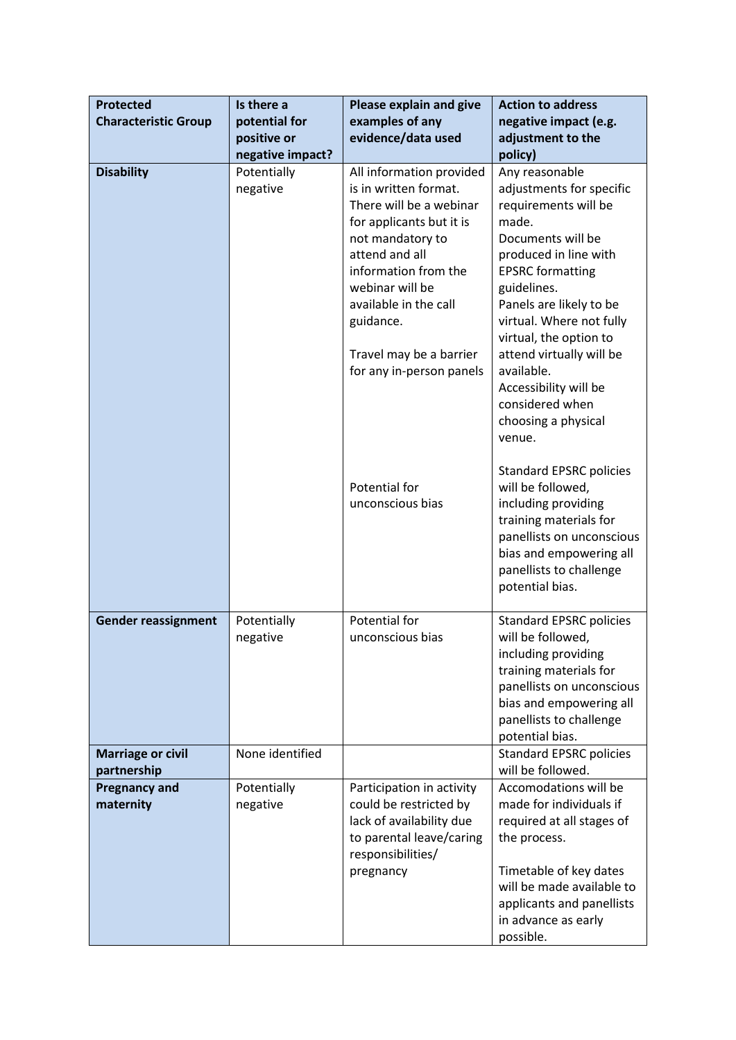| <b>Protected</b>                        | Is there a              | Please explain and give                                                                                                                                                                                                                                                                | <b>Action to address</b>                                                                                                                                                                                                                                                                                                                                                    |
|-----------------------------------------|-------------------------|----------------------------------------------------------------------------------------------------------------------------------------------------------------------------------------------------------------------------------------------------------------------------------------|-----------------------------------------------------------------------------------------------------------------------------------------------------------------------------------------------------------------------------------------------------------------------------------------------------------------------------------------------------------------------------|
| <b>Characteristic Group</b>             | potential for           | examples of any                                                                                                                                                                                                                                                                        | negative impact (e.g.                                                                                                                                                                                                                                                                                                                                                       |
|                                         | positive or             | evidence/data used                                                                                                                                                                                                                                                                     | adjustment to the                                                                                                                                                                                                                                                                                                                                                           |
|                                         | negative impact?        |                                                                                                                                                                                                                                                                                        | policy)                                                                                                                                                                                                                                                                                                                                                                     |
| <b>Disability</b>                       | Potentially<br>negative | All information provided<br>is in written format.<br>There will be a webinar<br>for applicants but it is<br>not mandatory to<br>attend and all<br>information from the<br>webinar will be<br>available in the call<br>guidance.<br>Travel may be a barrier<br>for any in-person panels | Any reasonable<br>adjustments for specific<br>requirements will be<br>made.<br>Documents will be<br>produced in line with<br><b>EPSRC</b> formatting<br>guidelines.<br>Panels are likely to be<br>virtual. Where not fully<br>virtual, the option to<br>attend virtually will be<br>available.<br>Accessibility will be<br>considered when<br>choosing a physical<br>venue. |
|                                         |                         | Potential for<br>unconscious bias                                                                                                                                                                                                                                                      | <b>Standard EPSRC policies</b><br>will be followed,<br>including providing<br>training materials for<br>panellists on unconscious<br>bias and empowering all<br>panellists to challenge<br>potential bias.                                                                                                                                                                  |
| <b>Gender reassignment</b>              | Potentially<br>negative | Potential for<br>unconscious bias                                                                                                                                                                                                                                                      | <b>Standard EPSRC policies</b><br>will be followed,<br>including providing<br>training materials for<br>panellists on unconscious<br>bias and empowering all<br>panellists to challenge<br>potential bias.                                                                                                                                                                  |
| <b>Marriage or civil</b><br>partnership | None identified         |                                                                                                                                                                                                                                                                                        | <b>Standard EPSRC policies</b><br>will be followed.                                                                                                                                                                                                                                                                                                                         |
| <b>Pregnancy and</b><br>maternity       | Potentially<br>negative | Participation in activity<br>could be restricted by<br>lack of availability due<br>to parental leave/caring<br>responsibilities/<br>pregnancy                                                                                                                                          | Accomodations will be<br>made for individuals if<br>required at all stages of<br>the process.<br>Timetable of key dates<br>will be made available to<br>applicants and panellists<br>in advance as early<br>possible.                                                                                                                                                       |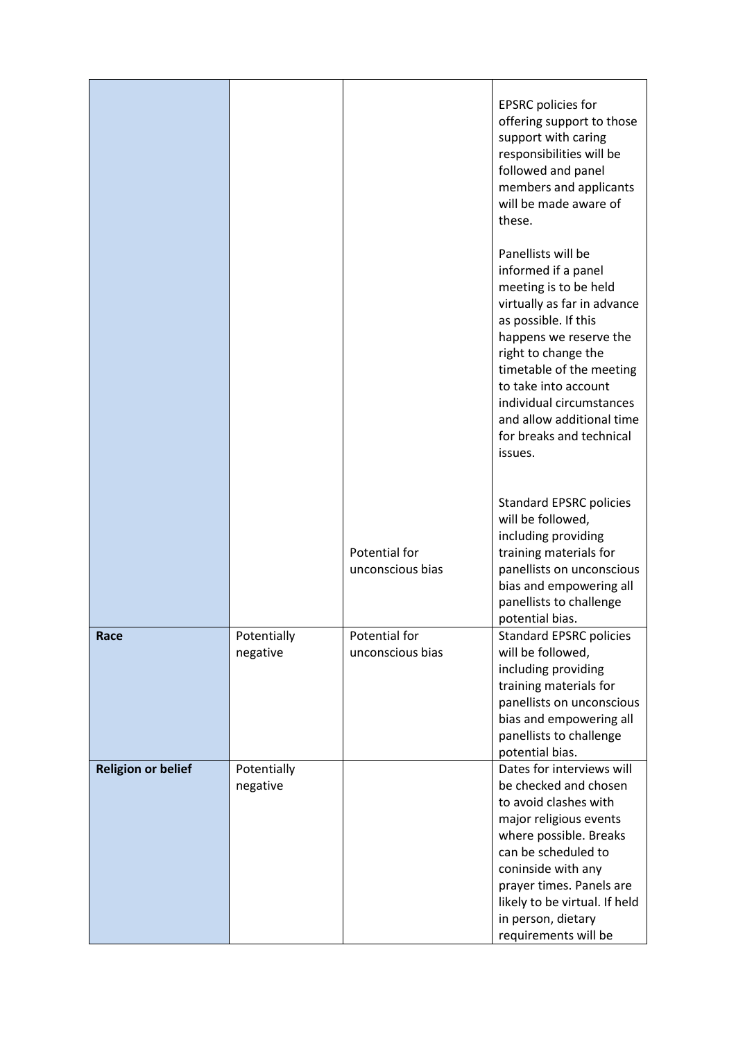|                           |                         |                                   | <b>EPSRC</b> policies for<br>offering support to those<br>support with caring<br>responsibilities will be<br>followed and panel<br>members and applicants<br>will be made aware of<br>these.                                                                                                                                   |
|---------------------------|-------------------------|-----------------------------------|--------------------------------------------------------------------------------------------------------------------------------------------------------------------------------------------------------------------------------------------------------------------------------------------------------------------------------|
|                           |                         |                                   | Panellists will be<br>informed if a panel<br>meeting is to be held<br>virtually as far in advance<br>as possible. If this<br>happens we reserve the<br>right to change the<br>timetable of the meeting<br>to take into account<br>individual circumstances<br>and allow additional time<br>for breaks and technical<br>issues. |
|                           |                         | Potential for<br>unconscious bias | <b>Standard EPSRC policies</b><br>will be followed,<br>including providing<br>training materials for<br>panellists on unconscious<br>bias and empowering all<br>panellists to challenge<br>potential bias.                                                                                                                     |
| Race                      | Potentially<br>negative | Potential for<br>unconscious bias | <b>Standard EPSRC policies</b><br>will be followed,<br>including providing<br>training materials for<br>panellists on unconscious<br>bias and empowering all<br>panellists to challenge<br>potential bias.                                                                                                                     |
| <b>Religion or belief</b> | Potentially<br>negative |                                   | Dates for interviews will<br>be checked and chosen<br>to avoid clashes with<br>major religious events<br>where possible. Breaks<br>can be scheduled to<br>coninside with any<br>prayer times. Panels are<br>likely to be virtual. If held<br>in person, dietary<br>requirements will be                                        |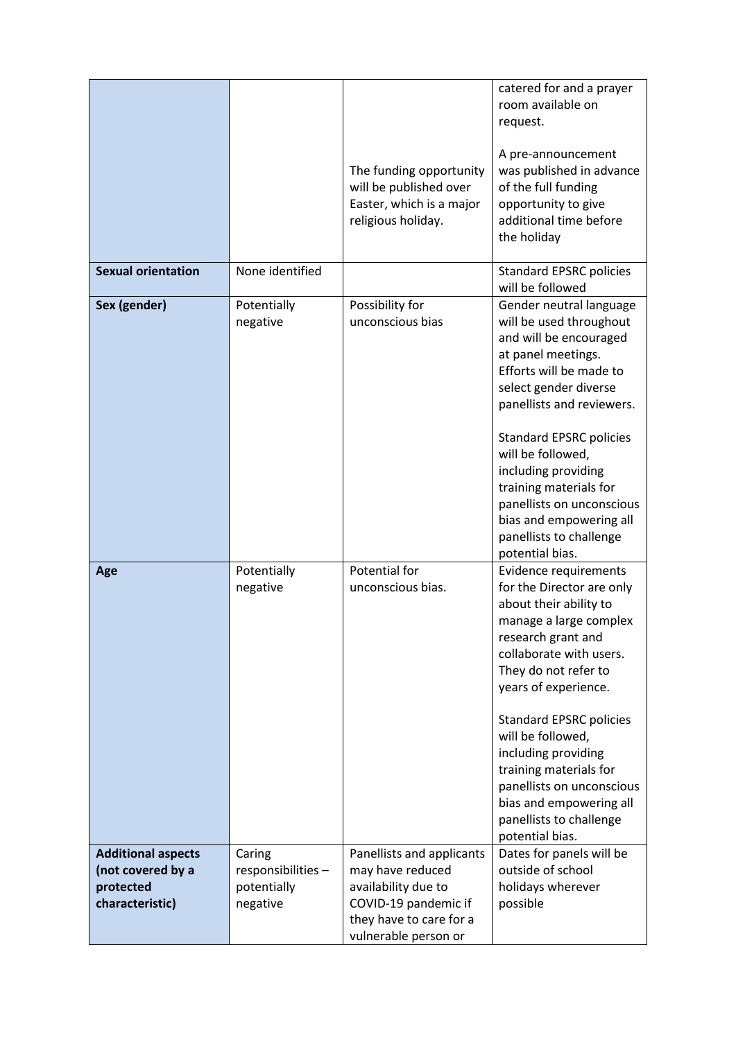|                                                                                |                                                         | The funding opportunity<br>will be published over<br>Easter, which is a major<br>religious holiday.                                             | catered for and a prayer<br>room available on<br>request.<br>A pre-announcement<br>was published in advance<br>of the full funding<br>opportunity to give<br>additional time before<br>the holiday                                                                                                                                                                                                                    |
|--------------------------------------------------------------------------------|---------------------------------------------------------|-------------------------------------------------------------------------------------------------------------------------------------------------|-----------------------------------------------------------------------------------------------------------------------------------------------------------------------------------------------------------------------------------------------------------------------------------------------------------------------------------------------------------------------------------------------------------------------|
| <b>Sexual orientation</b>                                                      | None identified                                         |                                                                                                                                                 | <b>Standard EPSRC policies</b>                                                                                                                                                                                                                                                                                                                                                                                        |
|                                                                                |                                                         |                                                                                                                                                 | will be followed                                                                                                                                                                                                                                                                                                                                                                                                      |
| Sex (gender)                                                                   | Potentially<br>negative                                 | Possibility for<br>unconscious bias                                                                                                             | Gender neutral language<br>will be used throughout<br>and will be encouraged<br>at panel meetings.<br>Efforts will be made to<br>select gender diverse<br>panellists and reviewers.<br><b>Standard EPSRC policies</b><br>will be followed,<br>including providing<br>training materials for<br>panellists on unconscious<br>bias and empowering all<br>panellists to challenge<br>potential bias.                     |
| Age                                                                            | Potentially<br>negative                                 | Potential for<br>unconscious bias.                                                                                                              | Evidence requirements<br>for the Director are only<br>about their ability to<br>manage a large complex<br>research grant and<br>collaborate with users.<br>They do not refer to<br>years of experience.<br><b>Standard EPSRC policies</b><br>will be followed,<br>including providing<br>training materials for<br>panellists on unconscious<br>bias and empowering all<br>panellists to challenge<br>potential bias. |
| <b>Additional aspects</b><br>(not covered by a<br>protected<br>characteristic) | Caring<br>responsibilities -<br>potentially<br>negative | Panellists and applicants<br>may have reduced<br>availability due to<br>COVID-19 pandemic if<br>they have to care for a<br>vulnerable person or | Dates for panels will be<br>outside of school<br>holidays wherever<br>possible                                                                                                                                                                                                                                                                                                                                        |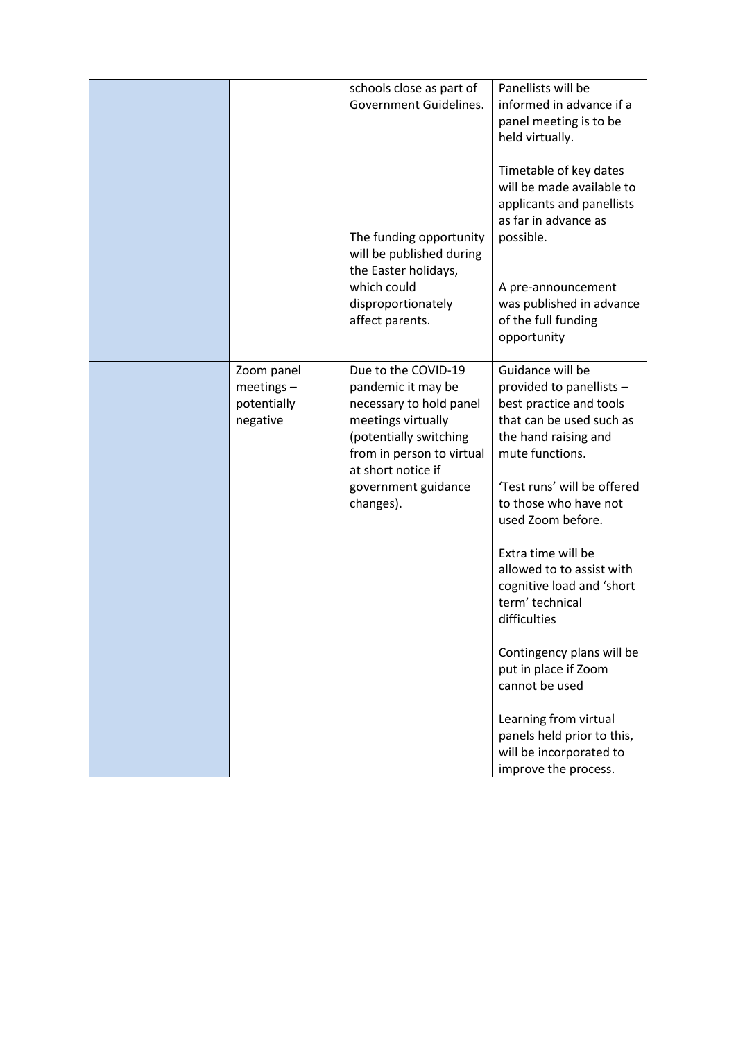|                                                       | schools close as part of<br>Government Guidelines.<br>The funding opportunity<br>will be published during<br>the Easter holidays,<br>which could<br>disproportionately<br>affect parents.                   | Panellists will be<br>informed in advance if a<br>panel meeting is to be<br>held virtually.<br>Timetable of key dates<br>will be made available to<br>applicants and panellists<br>as far in advance as<br>possible.<br>A pre-announcement<br>was published in advance<br>of the full funding<br>opportunity                                                                                                                                                                                                                    |
|-------------------------------------------------------|-------------------------------------------------------------------------------------------------------------------------------------------------------------------------------------------------------------|---------------------------------------------------------------------------------------------------------------------------------------------------------------------------------------------------------------------------------------------------------------------------------------------------------------------------------------------------------------------------------------------------------------------------------------------------------------------------------------------------------------------------------|
| Zoom panel<br>$meetings -$<br>potentially<br>negative | Due to the COVID-19<br>pandemic it may be<br>necessary to hold panel<br>meetings virtually<br>(potentially switching<br>from in person to virtual<br>at short notice if<br>government guidance<br>changes). | Guidance will be<br>provided to panellists -<br>best practice and tools<br>that can be used such as<br>the hand raising and<br>mute functions.<br>'Test runs' will be offered<br>to those who have not<br>used Zoom before.<br>Extra time will be<br>allowed to to assist with<br>cognitive load and 'short<br>term' technical<br>difficulties<br>Contingency plans will be<br>put in place if Zoom<br>cannot be used<br>Learning from virtual<br>panels held prior to this,<br>will be incorporated to<br>improve the process. |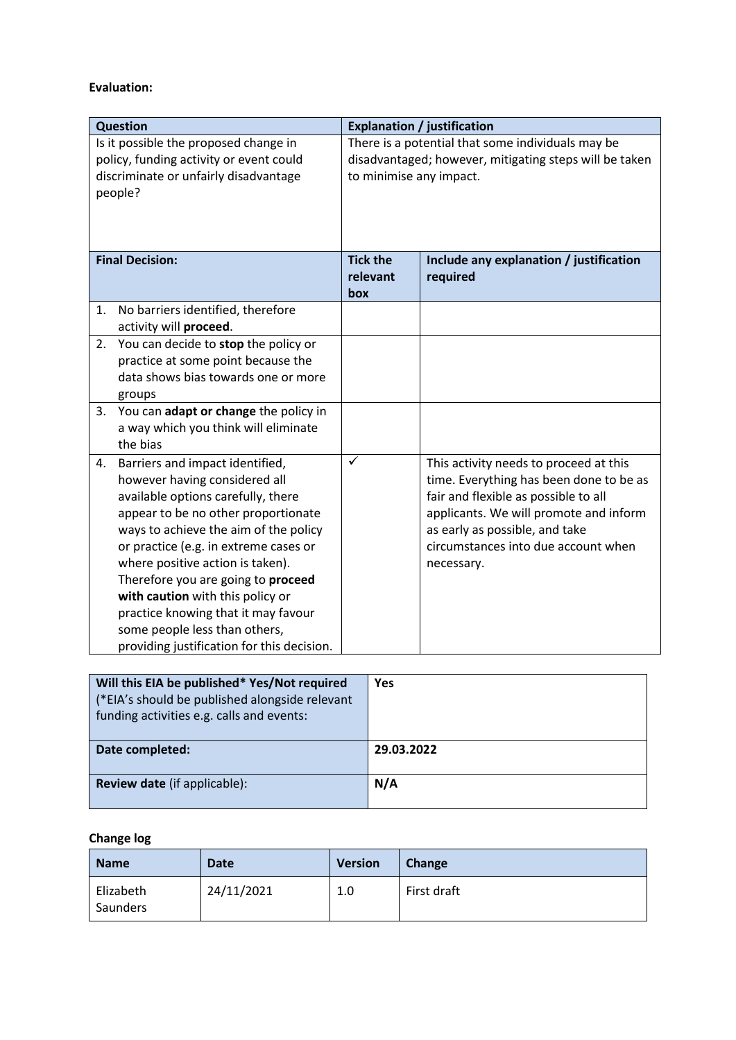## **Evaluation:**

|    | <b>Question</b>                                                                                                                                                                                                                                                                                                                                                                                                                                                     |                                                                                                                                        | <b>Explanation / justification</b>                                                                                                                                                                                                                         |
|----|---------------------------------------------------------------------------------------------------------------------------------------------------------------------------------------------------------------------------------------------------------------------------------------------------------------------------------------------------------------------------------------------------------------------------------------------------------------------|----------------------------------------------------------------------------------------------------------------------------------------|------------------------------------------------------------------------------------------------------------------------------------------------------------------------------------------------------------------------------------------------------------|
|    | Is it possible the proposed change in<br>policy, funding activity or event could<br>discriminate or unfairly disadvantage<br>people?                                                                                                                                                                                                                                                                                                                                | There is a potential that some individuals may be<br>disadvantaged; however, mitigating steps will be taken<br>to minimise any impact. |                                                                                                                                                                                                                                                            |
|    | <b>Final Decision:</b>                                                                                                                                                                                                                                                                                                                                                                                                                                              | <b>Tick the</b><br>relevant<br>box                                                                                                     | Include any explanation / justification<br>required                                                                                                                                                                                                        |
| 1. | No barriers identified, therefore<br>activity will proceed.                                                                                                                                                                                                                                                                                                                                                                                                         |                                                                                                                                        |                                                                                                                                                                                                                                                            |
|    | 2. You can decide to stop the policy or<br>practice at some point because the<br>data shows bias towards one or more<br>groups                                                                                                                                                                                                                                                                                                                                      |                                                                                                                                        |                                                                                                                                                                                                                                                            |
| 3. | You can adapt or change the policy in<br>a way which you think will eliminate<br>the bias                                                                                                                                                                                                                                                                                                                                                                           |                                                                                                                                        |                                                                                                                                                                                                                                                            |
| 4. | Barriers and impact identified,<br>however having considered all<br>available options carefully, there<br>appear to be no other proportionate<br>ways to achieve the aim of the policy<br>or practice (e.g. in extreme cases or<br>where positive action is taken).<br>Therefore you are going to proceed<br>with caution with this policy or<br>practice knowing that it may favour<br>some people less than others,<br>providing justification for this decision. | $\checkmark$                                                                                                                           | This activity needs to proceed at this<br>time. Everything has been done to be as<br>fair and flexible as possible to all<br>applicants. We will promote and inform<br>as early as possible, and take<br>circumstances into due account when<br>necessary. |

| Will this EIA be published* Yes/Not required<br>(*EIA's should be published alongside relevant<br>funding activities e.g. calls and events: | Yes        |
|---------------------------------------------------------------------------------------------------------------------------------------------|------------|
| Date completed:                                                                                                                             | 29.03.2022 |
| <b>Review date</b> (if applicable):                                                                                                         | N/A        |

## **Change log**

| <b>Name</b>           | <b>Date</b> | <b>Version</b> | Change      |
|-----------------------|-------------|----------------|-------------|
| Elizabeth<br>Saunders | 24/11/2021  | 1.0            | First draft |